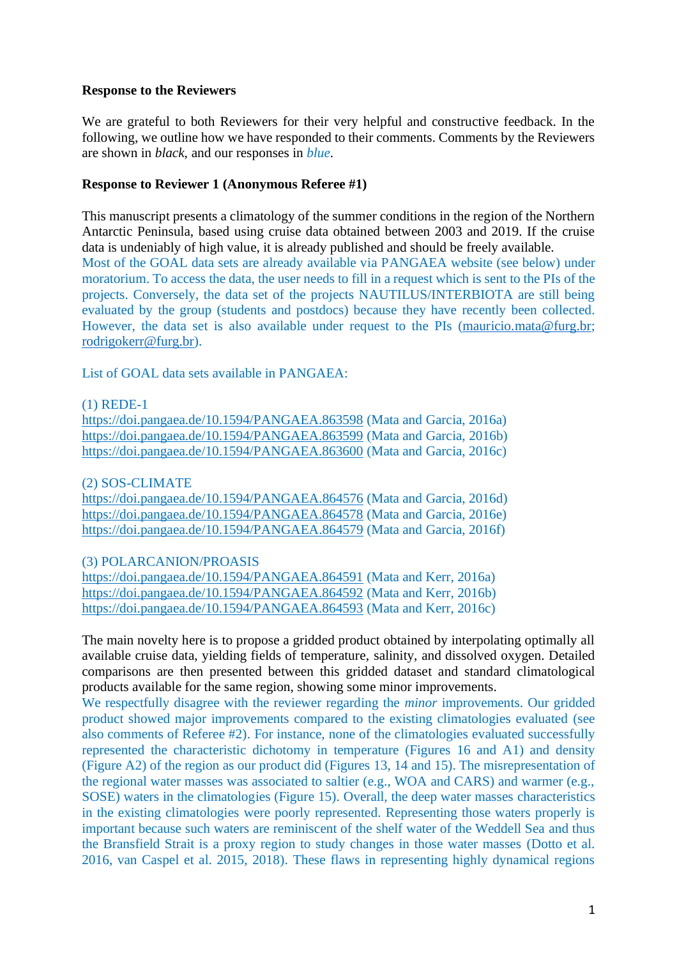## **Response to the Reviewers**

We are grateful to both Reviewers for their very helpful and constructive feedback. In the following, we outline how we have responded to their comments. Comments by the Reviewers are shown in *black*, and our responses in *blue*.

## **Response to Reviewer 1 (Anonymous Referee #1)**

This manuscript presents a climatology of the summer conditions in the region of the Northern Antarctic Peninsula, based using cruise data obtained between 2003 and 2019. If the cruise data is undeniably of high value, it is already published and should be freely available. Most of the GOAL data sets are already available via PANGAEA website (see below) under moratorium. To access the data, the user needs to fill in a request which is sent to the PIs of the projects. Conversely, the data set of the projects NAUTILUS/INTERBIOTA are still being evaluated by the group (students and postdocs) because they have recently been collected. However, the data set is also available under request to the PIs [\(mauricio.mata@furg.br;](mailto:mauricio.mata@furg.br) [rodrigokerr@furg.br\)](mailto:rodrigokerr@furg.br).

List of GOAL data sets available in PANGAEA:

(1) REDE-1

<https://doi.pangaea.de/10.1594/PANGAEA.863598> (Mata and Garcia, 2016a) <https://doi.pangaea.de/10.1594/PANGAEA.863599> (Mata and Garcia, 2016b) <https://doi.pangaea.de/10.1594/PANGAEA.863600> (Mata and Garcia, 2016c)

(2) SOS-CLIMATE

<https://doi.pangaea.de/10.1594/PANGAEA.864576> (Mata and Garcia, 2016d) <https://doi.pangaea.de/10.1594/PANGAEA.864578> (Mata and Garcia, 2016e) <https://doi.pangaea.de/10.1594/PANGAEA.864579> (Mata and Garcia, 2016f)

## (3) POLARCANION/PROASIS

<https://doi.pangaea.de/10.1594/PANGAEA.864591> (Mata and Kerr, 2016a) <https://doi.pangaea.de/10.1594/PANGAEA.864592> (Mata and Kerr, 2016b) <https://doi.pangaea.de/10.1594/PANGAEA.864593> (Mata and Kerr, 2016c)

The main novelty here is to propose a gridded product obtained by interpolating optimally all available cruise data, yielding fields of temperature, salinity, and dissolved oxygen. Detailed comparisons are then presented between this gridded dataset and standard climatological products available for the same region, showing some minor improvements.

We respectfully disagree with the reviewer regarding the *minor* improvements. Our gridded product showed major improvements compared to the existing climatologies evaluated (see also comments of Referee #2). For instance, none of the climatologies evaluated successfully represented the characteristic dichotomy in temperature (Figures 16 and A1) and density (Figure A2) of the region as our product did (Figures 13, 14 and 15). The misrepresentation of the regional water masses was associated to saltier (e.g., WOA and CARS) and warmer (e.g., SOSE) waters in the climatologies (Figure 15). Overall, the deep water masses characteristics in the existing climatologies were poorly represented. Representing those waters properly is important because such waters are reminiscent of the shelf water of the Weddell Sea and thus the Bransfield Strait is a proxy region to study changes in those water masses (Dotto et al. 2016, van Caspel et al. 2015, 2018). These flaws in representing highly dynamical regions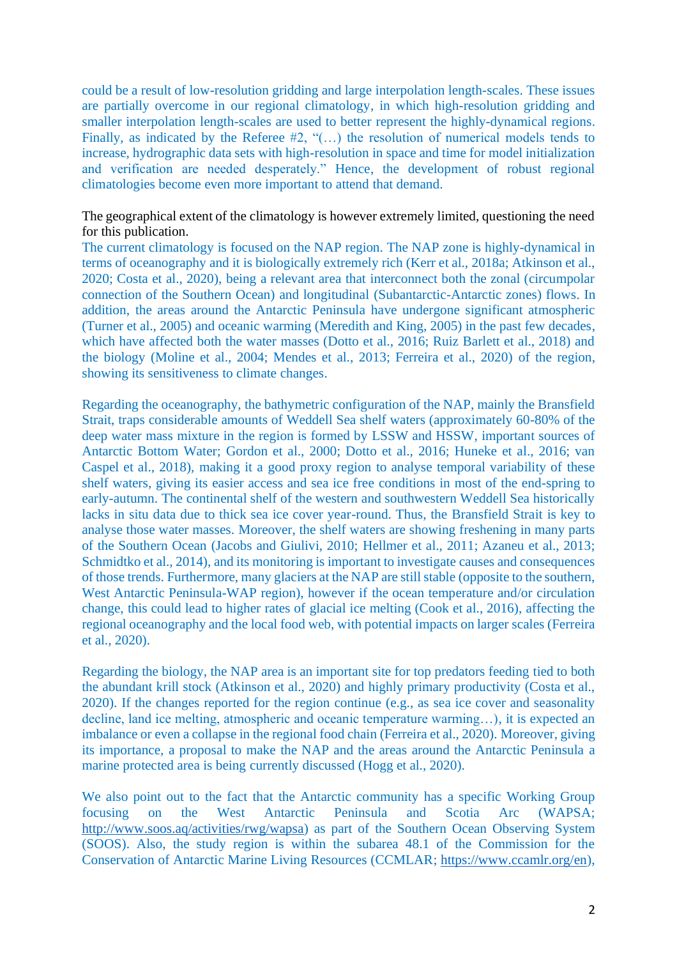could be a result of low-resolution gridding and large interpolation length-scales. These issues are partially overcome in our regional climatology, in which high-resolution gridding and smaller interpolation length-scales are used to better represent the highly-dynamical regions. Finally, as indicated by the Referee #2, "(...) the resolution of numerical models tends to increase, hydrographic data sets with high-resolution in space and time for model initialization and verification are needed desperately." Hence, the development of robust regional climatologies become even more important to attend that demand.

The geographical extent of the climatology is however extremely limited, questioning the need for this publication.

The current climatology is focused on the NAP region. The NAP zone is highly-dynamical in terms of oceanography and it is biologically extremely rich (Kerr et al., 2018a; Atkinson et al., 2020; Costa et al., 2020), being a relevant area that interconnect both the zonal (circumpolar connection of the Southern Ocean) and longitudinal (Subantarctic-Antarctic zones) flows. In addition, the areas around the Antarctic Peninsula have undergone significant atmospheric (Turner et al., 2005) and oceanic warming (Meredith and King, 2005) in the past few decades, which have affected both the water masses (Dotto et al., 2016; Ruiz Barlett et al., 2018) and the biology (Moline et al., 2004; Mendes et al., 2013; Ferreira et al., 2020) of the region, showing its sensitiveness to climate changes.

Regarding the oceanography, the bathymetric configuration of the NAP, mainly the Bransfield Strait, traps considerable amounts of Weddell Sea shelf waters (approximately 60-80% of the deep water mass mixture in the region is formed by LSSW and HSSW, important sources of Antarctic Bottom Water; Gordon et al., 2000; Dotto et al., 2016; Huneke et al., 2016; van Caspel et al., 2018), making it a good proxy region to analyse temporal variability of these shelf waters, giving its easier access and sea ice free conditions in most of the end-spring to early-autumn. The continental shelf of the western and southwestern Weddell Sea historically lacks in situ data due to thick sea ice cover year-round. Thus, the Bransfield Strait is key to analyse those water masses. Moreover, the shelf waters are showing freshening in many parts of the Southern Ocean (Jacobs and Giulivi, 2010; Hellmer et al., 2011; Azaneu et al., 2013; Schmidtko et al., 2014), and its monitoring is important to investigate causes and consequences of those trends. Furthermore, many glaciers at the NAP are still stable (opposite to the southern, West Antarctic Peninsula-WAP region), however if the ocean temperature and/or circulation change, this could lead to higher rates of glacial ice melting (Cook et al., 2016), affecting the regional oceanography and the local food web, with potential impacts on larger scales (Ferreira et al., 2020).

Regarding the biology, the NAP area is an important site for top predators feeding tied to both the abundant krill stock (Atkinson et al., 2020) and highly primary productivity (Costa et al., 2020). If the changes reported for the region continue (e.g., as sea ice cover and seasonality decline, land ice melting, atmospheric and oceanic temperature warming…), it is expected an imbalance or even a collapse in the regional food chain (Ferreira et al., 2020). Moreover, giving its importance, a proposal to make the NAP and the areas around the Antarctic Peninsula a marine protected area is being currently discussed (Hogg et al., 2020).

We also point out to the fact that the Antarctic community has a specific Working Group focusing on the West Antarctic Peninsula and Scotia Arc (WAPSA; [http://www.soos.aq/activities/rwg/wapsa\)](http://www.soos.aq/activities/rwg/wapsa) as part of the Southern Ocean Observing System (SOOS). Also, the study region is within the subarea 48.1 of the Commission for the Conservation of Antarctic Marine Living Resources (CCMLAR; [https://www.ccamlr.org/en\)](https://www.ccamlr.org/en),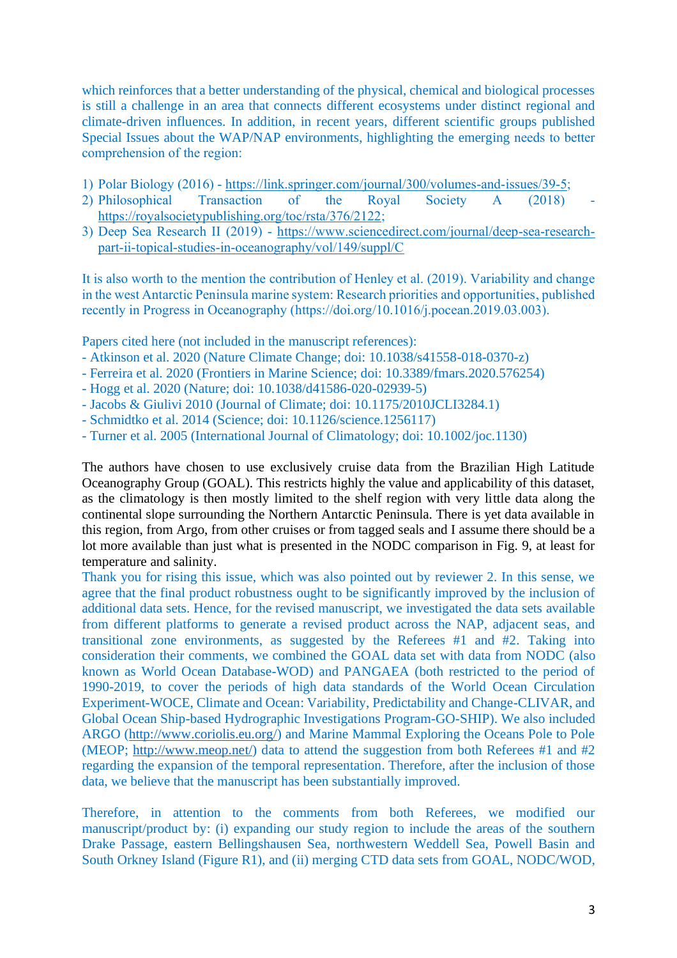which reinforces that a better understanding of the physical, chemical and biological processes is still a challenge in an area that connects different ecosystems under distinct regional and climate-driven influences. In addition, in recent years, different scientific groups published Special Issues about the WAP/NAP environments, highlighting the emerging needs to better comprehension of the region:

- 1) Polar Biology (2016) [https://link.springer.com/journal/300/volumes-and-issues/39-5;](https://link.springer.com/journal/300/volumes-and-issues/39-5)
- 2) Philosophical Transaction of the Royal Society A (2018) [https://royalsocietypublishing.org/toc/rsta/376/2122;](https://royalsocietypublishing.org/toc/rsta/376/2122)
- 3) Deep Sea Research II (2019) [https://www.sciencedirect.com/journal/deep-sea-research](https://www.sciencedirect.com/journal/deep-sea-research-part-ii-topical-studies-in-oceanography/vol/149/suppl/C)[part-ii-topical-studies-in-oceanography/vol/149/suppl/C](https://www.sciencedirect.com/journal/deep-sea-research-part-ii-topical-studies-in-oceanography/vol/149/suppl/C)

It is also worth to the mention the contribution of Henley et al. (2019). Variability and change in the west Antarctic Peninsula marine system: Research priorities and opportunities, published recently in Progress in Oceanography (https://doi.org/10.1016/j.pocean.2019.03.003).

Papers cited here (not included in the manuscript references):

- Atkinson et al. 2020 (Nature Climate Change; doi: 10.1038/s41558-018-0370-z)
- Ferreira et al. 2020 (Frontiers in Marine Science; doi: 10.3389/fmars.2020.576254)
- Hogg et al. 2020 (Nature; doi: 10.1038/d41586-020-02939-5)
- Jacobs & Giulivi 2010 (Journal of Climate; doi: 10.1175/2010JCLI3284.1)
- Schmidtko et al. 2014 (Science; doi: 10.1126/science.1256117)
- Turner et al. 2005 (International Journal of Climatology; doi: 10.1002/joc.1130)

The authors have chosen to use exclusively cruise data from the Brazilian High Latitude Oceanography Group (GOAL). This restricts highly the value and applicability of this dataset, as the climatology is then mostly limited to the shelf region with very little data along the continental slope surrounding the Northern Antarctic Peninsula. There is yet data available in this region, from Argo, from other cruises or from tagged seals and I assume there should be a lot more available than just what is presented in the NODC comparison in Fig. 9, at least for temperature and salinity.

Thank you for rising this issue, which was also pointed out by reviewer 2. In this sense, we agree that the final product robustness ought to be significantly improved by the inclusion of additional data sets. Hence, for the revised manuscript, we investigated the data sets available from different platforms to generate a revised product across the NAP, adjacent seas, and transitional zone environments, as suggested by the Referees #1 and #2. Taking into consideration their comments, we combined the GOAL data set with data from NODC (also known as World Ocean Database-WOD) and PANGAEA (both restricted to the period of 1990-2019, to cover the periods of high data standards of the World Ocean Circulation Experiment-WOCE, Climate and Ocean: Variability, Predictability and Change-CLIVAR, and Global Ocean Ship-based Hydrographic Investigations Program-GO-SHIP). We also included ARGO [\(http://www.coriolis.eu.org/\)](http://www.coriolis.eu.org/) and Marine Mammal Exploring the Oceans Pole to Pole (MEOP; [http://www.meop.net/\)](http://www.meop.net/) data to attend the suggestion from both Referees #1 and #2 regarding the expansion of the temporal representation. Therefore, after the inclusion of those data, we believe that the manuscript has been substantially improved.

Therefore, in attention to the comments from both Referees, we modified our manuscript/product by: (i) expanding our study region to include the areas of the southern Drake Passage, eastern Bellingshausen Sea, northwestern Weddell Sea, Powell Basin and South Orkney Island (Figure R1), and (ii) merging CTD data sets from GOAL, NODC/WOD,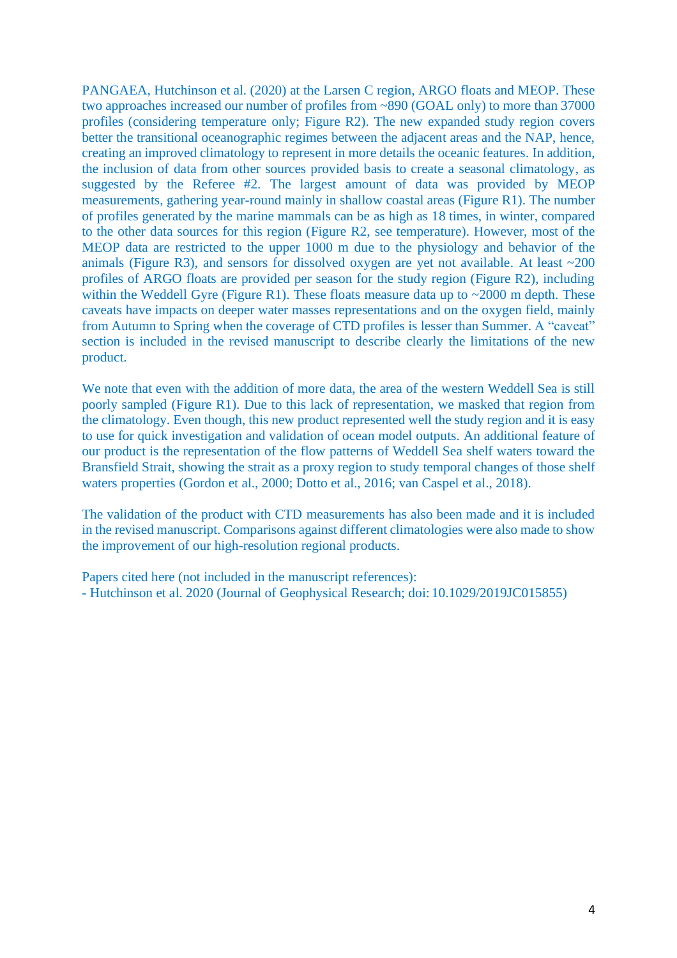PANGAEA, Hutchinson et al. (2020) at the Larsen C region, ARGO floats and MEOP. These two approaches increased our number of profiles from ~890 (GOAL only) to more than 37000 profiles (considering temperature only; Figure R2). The new expanded study region covers better the transitional oceanographic regimes between the adjacent areas and the NAP, hence, creating an improved climatology to represent in more details the oceanic features. In addition, the inclusion of data from other sources provided basis to create a seasonal climatology, as suggested by the Referee #2. The largest amount of data was provided by MEOP measurements, gathering year-round mainly in shallow coastal areas (Figure R1). The number of profiles generated by the marine mammals can be as high as 18 times, in winter, compared to the other data sources for this region (Figure R2, see temperature). However, most of the MEOP data are restricted to the upper 1000 m due to the physiology and behavior of the animals (Figure R3), and sensors for dissolved oxygen are yet not available. At least  $\sim$ 200 profiles of ARGO floats are provided per season for the study region (Figure R2), including within the Weddell Gyre (Figure R1). These floats measure data up to  $\sim$ 2000 m depth. These caveats have impacts on deeper water masses representations and on the oxygen field, mainly from Autumn to Spring when the coverage of CTD profiles is lesser than Summer. A "caveat" section is included in the revised manuscript to describe clearly the limitations of the new product.

We note that even with the addition of more data, the area of the western Weddell Sea is still poorly sampled (Figure R1). Due to this lack of representation, we masked that region from the climatology. Even though, this new product represented well the study region and it is easy to use for quick investigation and validation of ocean model outputs. An additional feature of our product is the representation of the flow patterns of Weddell Sea shelf waters toward the Bransfield Strait, showing the strait as a proxy region to study temporal changes of those shelf waters properties (Gordon et al., 2000; Dotto et al., 2016; van Caspel et al., 2018).

The validation of the product with CTD measurements has also been made and it is included in the revised manuscript. Comparisons against different climatologies were also made to show the improvement of our high-resolution regional products.

Papers cited here (not included in the manuscript references): - Hutchinson et al. 2020 (Journal of Geophysical Research; doi: 10.1029/2019JC015855)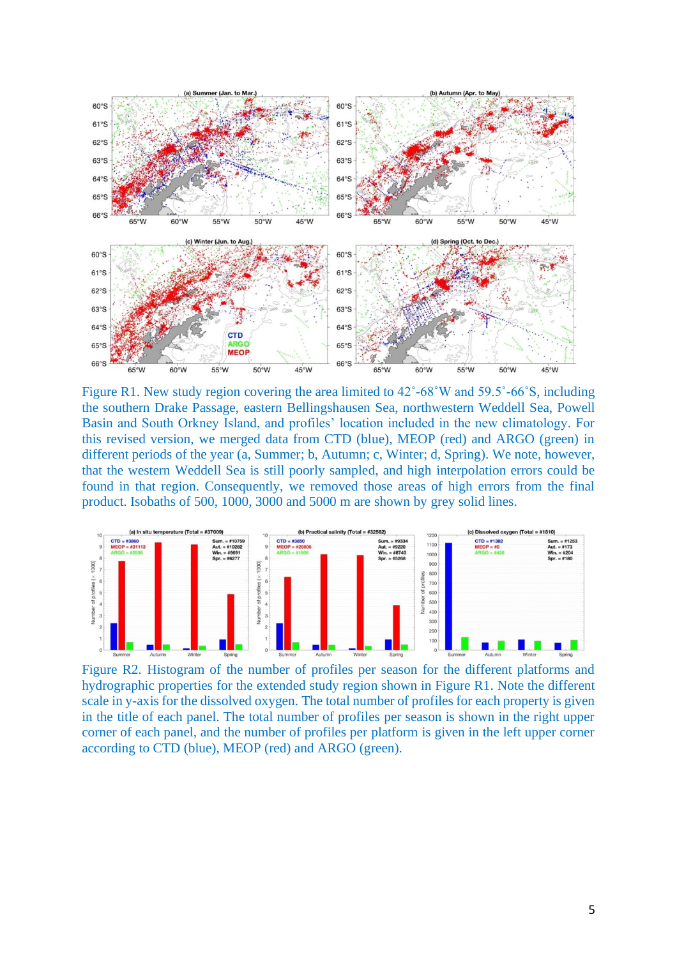

Figure R1. New study region covering the area limited to 42˚-68˚W and 59.5˚-66˚S, including the southern Drake Passage, eastern Bellingshausen Sea, northwestern Weddell Sea, Powell Basin and South Orkney Island, and profiles' location included in the new climatology. For this revised version, we merged data from CTD (blue), MEOP (red) and ARGO (green) in different periods of the year (a, Summer; b, Autumn; c, Winter; d, Spring). We note, however, that the western Weddell Sea is still poorly sampled, and high interpolation errors could be found in that region. Consequently, we removed those areas of high errors from the final product. Isobaths of 500, 1000, 3000 and 5000 m are shown by grey solid lines.



Figure R2. Histogram of the number of profiles per season for the different platforms and hydrographic properties for the extended study region shown in Figure R1. Note the different scale in y-axis for the dissolved oxygen. The total number of profiles for each property is given in the title of each panel. The total number of profiles per season is shown in the right upper corner of each panel, and the number of profiles per platform is given in the left upper corner according to CTD (blue), MEOP (red) and ARGO (green).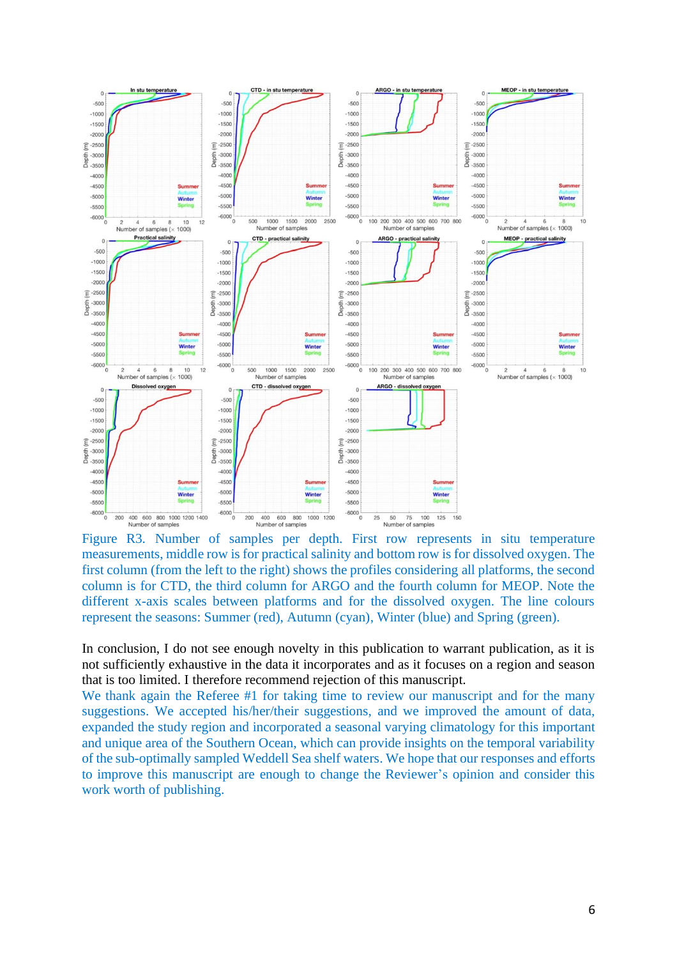

Figure R3. Number of samples per depth. First row represents in situ temperature measurements, middle row is for practical salinity and bottom row is for dissolved oxygen. The first column (from the left to the right) shows the profiles considering all platforms, the second column is for CTD, the third column for ARGO and the fourth column for MEOP. Note the different x-axis scales between platforms and for the dissolved oxygen. The line colours represent the seasons: Summer (red), Autumn (cyan), Winter (blue) and Spring (green).

In conclusion, I do not see enough novelty in this publication to warrant publication, as it is not sufficiently exhaustive in the data it incorporates and as it focuses on a region and season that is too limited. I therefore recommend rejection of this manuscript.

We thank again the Referee #1 for taking time to review our manuscript and for the many suggestions. We accepted his/her/their suggestions, and we improved the amount of data, expanded the study region and incorporated a seasonal varying climatology for this important and unique area of the Southern Ocean, which can provide insights on the temporal variability of the sub-optimally sampled Weddell Sea shelf waters. We hope that our responses and efforts to improve this manuscript are enough to change the Reviewer's opinion and consider this work worth of publishing.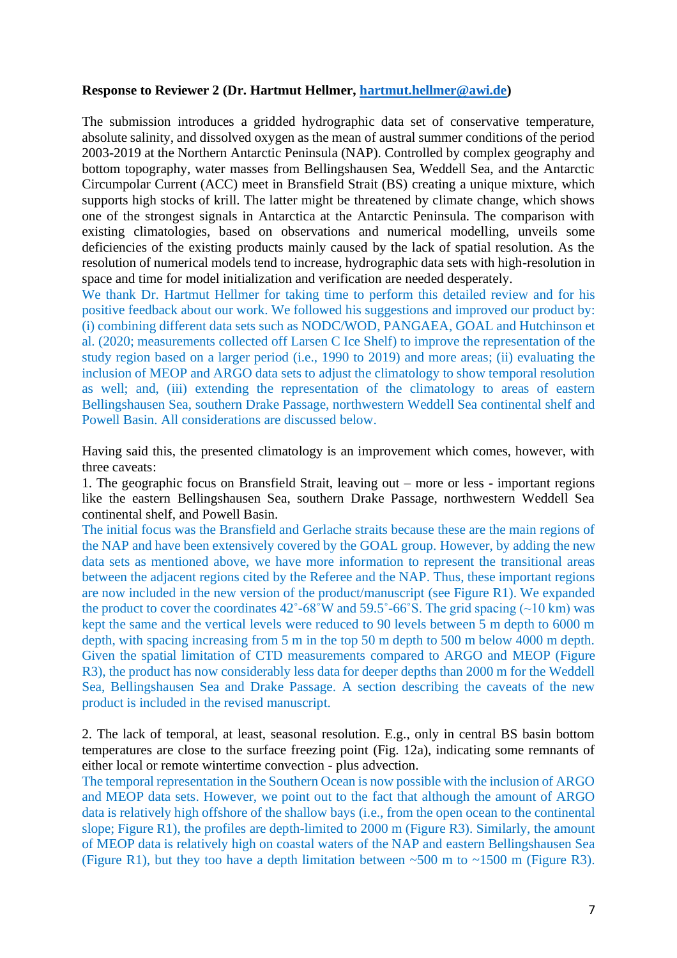## **Response to Reviewer 2 (Dr. Hartmut Hellmer, [hartmut.hellmer@awi.de\)](mailto:hartmut.hellmer@awi.de)**

The submission introduces a gridded hydrographic data set of conservative temperature, absolute salinity, and dissolved oxygen as the mean of austral summer conditions of the period 2003-2019 at the Northern Antarctic Peninsula (NAP). Controlled by complex geography and bottom topography, water masses from Bellingshausen Sea, Weddell Sea, and the Antarctic Circumpolar Current (ACC) meet in Bransfield Strait (BS) creating a unique mixture, which supports high stocks of krill. The latter might be threatened by climate change, which shows one of the strongest signals in Antarctica at the Antarctic Peninsula. The comparison with existing climatologies, based on observations and numerical modelling, unveils some deficiencies of the existing products mainly caused by the lack of spatial resolution. As the resolution of numerical models tend to increase, hydrographic data sets with high-resolution in space and time for model initialization and verification are needed desperately.

We thank Dr. Hartmut Hellmer for taking time to perform this detailed review and for his positive feedback about our work. We followed his suggestions and improved our product by: (i) combining different data sets such as NODC/WOD, PANGAEA, GOAL and Hutchinson et al. (2020; measurements collected off Larsen C Ice Shelf) to improve the representation of the study region based on a larger period (i.e., 1990 to 2019) and more areas; (ii) evaluating the inclusion of MEOP and ARGO data sets to adjust the climatology to show temporal resolution as well; and, (iii) extending the representation of the climatology to areas of eastern Bellingshausen Sea, southern Drake Passage, northwestern Weddell Sea continental shelf and Powell Basin. All considerations are discussed below.

Having said this, the presented climatology is an improvement which comes, however, with three caveats:

1. The geographic focus on Bransfield Strait, leaving out – more or less - important regions like the eastern Bellingshausen Sea, southern Drake Passage, northwestern Weddell Sea continental shelf, and Powell Basin.

The initial focus was the Bransfield and Gerlache straits because these are the main regions of the NAP and have been extensively covered by the GOAL group. However, by adding the new data sets as mentioned above, we have more information to represent the transitional areas between the adjacent regions cited by the Referee and the NAP. Thus, these important regions are now included in the new version of the product/manuscript (see Figure R1). We expanded the product to cover the coordinates  $42^{\circ}$ -68°W and  $59.5^{\circ}$ -66°S. The grid spacing (~10 km) was kept the same and the vertical levels were reduced to 90 levels between 5 m depth to 6000 m depth, with spacing increasing from 5 m in the top 50 m depth to 500 m below 4000 m depth. Given the spatial limitation of CTD measurements compared to ARGO and MEOP (Figure R3), the product has now considerably less data for deeper depths than 2000 m for the Weddell Sea, Bellingshausen Sea and Drake Passage. A section describing the caveats of the new product is included in the revised manuscript.

2. The lack of temporal, at least, seasonal resolution. E.g., only in central BS basin bottom temperatures are close to the surface freezing point (Fig. 12a), indicating some remnants of either local or remote wintertime convection - plus advection.

The temporal representation in the Southern Ocean is now possible with the inclusion of ARGO and MEOP data sets. However, we point out to the fact that although the amount of ARGO data is relatively high offshore of the shallow bays (i.e., from the open ocean to the continental slope; Figure R1), the profiles are depth-limited to 2000 m (Figure R3). Similarly, the amount of MEOP data is relatively high on coastal waters of the NAP and eastern Bellingshausen Sea (Figure R1), but they too have a depth limitation between  $\sim$  500 m to  $\sim$  1500 m (Figure R3).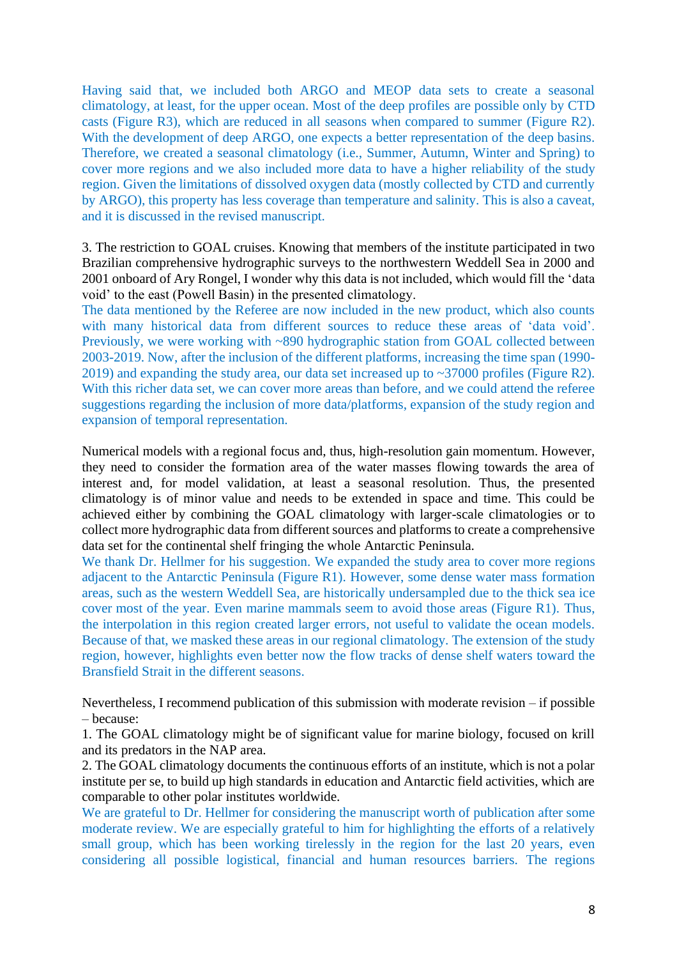Having said that, we included both ARGO and MEOP data sets to create a seasonal climatology, at least, for the upper ocean. Most of the deep profiles are possible only by CTD casts (Figure R3), which are reduced in all seasons when compared to summer (Figure R2). With the development of deep ARGO, one expects a better representation of the deep basins. Therefore, we created a seasonal climatology (i.e., Summer, Autumn, Winter and Spring) to cover more regions and we also included more data to have a higher reliability of the study region. Given the limitations of dissolved oxygen data (mostly collected by CTD and currently by ARGO), this property has less coverage than temperature and salinity. This is also a caveat, and it is discussed in the revised manuscript.

3. The restriction to GOAL cruises. Knowing that members of the institute participated in two Brazilian comprehensive hydrographic surveys to the northwestern Weddell Sea in 2000 and 2001 onboard of Ary Rongel, I wonder why this data is not included, which would fill the 'data void' to the east (Powell Basin) in the presented climatology.

The data mentioned by the Referee are now included in the new product, which also counts with many historical data from different sources to reduce these areas of 'data void'. Previously, we were working with ~890 hydrographic station from GOAL collected between 2003-2019. Now, after the inclusion of the different platforms, increasing the time span (1990- 2019) and expanding the study area, our data set increased up to ~37000 profiles (Figure R2). With this richer data set, we can cover more areas than before, and we could attend the referee suggestions regarding the inclusion of more data/platforms, expansion of the study region and expansion of temporal representation.

Numerical models with a regional focus and, thus, high-resolution gain momentum. However, they need to consider the formation area of the water masses flowing towards the area of interest and, for model validation, at least a seasonal resolution. Thus, the presented climatology is of minor value and needs to be extended in space and time. This could be achieved either by combining the GOAL climatology with larger-scale climatologies or to collect more hydrographic data from different sources and platforms to create a comprehensive data set for the continental shelf fringing the whole Antarctic Peninsula.

We thank Dr. Hellmer for his suggestion. We expanded the study area to cover more regions adjacent to the Antarctic Peninsula (Figure R1). However, some dense water mass formation areas, such as the western Weddell Sea, are historically undersampled due to the thick sea ice cover most of the year. Even marine mammals seem to avoid those areas (Figure R1). Thus, the interpolation in this region created larger errors, not useful to validate the ocean models. Because of that, we masked these areas in our regional climatology. The extension of the study region, however, highlights even better now the flow tracks of dense shelf waters toward the Bransfield Strait in the different seasons.

Nevertheless, I recommend publication of this submission with moderate revision – if possible – because:

1. The GOAL climatology might be of significant value for marine biology, focused on krill and its predators in the NAP area.

2. The GOAL climatology documents the continuous efforts of an institute, which is not a polar institute per se, to build up high standards in education and Antarctic field activities, which are comparable to other polar institutes worldwide.

We are grateful to Dr. Hellmer for considering the manuscript worth of publication after some moderate review. We are especially grateful to him for highlighting the efforts of a relatively small group, which has been working tirelessly in the region for the last 20 years, even considering all possible logistical, financial and human resources barriers. The regions